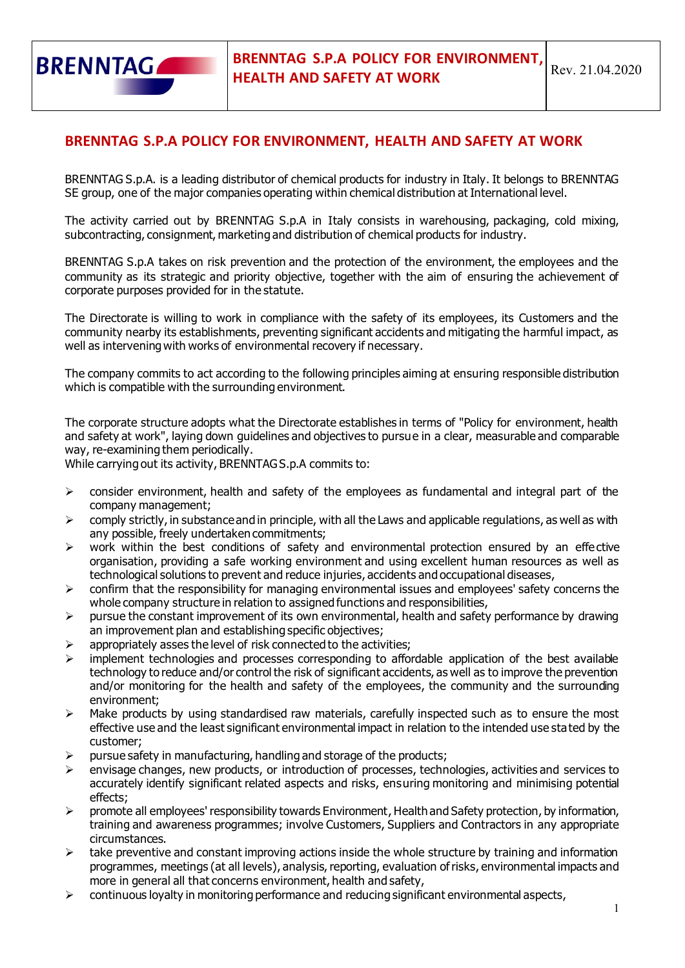

## **BRENNTAG S.P.A POLICY FOR ENVIRONMENT, HEALTH AND SAFETY AT WORK**

BRENNTAG S.p.A. is a leading distributor of chemical products for industry in Italy. It belongs to BRENNTAG SE group, one of the major companies operating within chemical distribution at International level.

The activity carried out by BRENNTAG S.p.A in Italy consists in warehousing, packaging, cold mixing, subcontracting, consignment, marketing and distribution of chemical products for industry.

BRENNTAG S.p.A takes on risk prevention and the protection of the environment, the employees and the community as its strategic and priority objective, together with the aim of ensuring the achievement of corporate purposes provided for in the statute.

The Directorate is willing to work in compliance with the safety of its employees, its Customers and the community nearby its establishments, preventing significant accidents and mitigating the harmful impact, as well as intervening with works of environmental recovery if necessary.

The company commits to act according to the following principles aiming at ensuring responsible distribution which is compatible with the surrounding environment.

The corporate structure adopts what the Directorate establishes in terms of "Policy for environment, health and safety at work", laying down guidelines and objectives to pursue in a clear, measurable and comparable way, re-examining them periodically.

While carrying out its activity, BRENNTAG S.p.A commits to:

- $\triangleright$  consider environment, health and safety of the employees as fundamental and integral part of the company management;
- $\triangleright$  comply strictly, in substance and in principle, with all the Laws and applicable regulations, as well as with any possible, freely undertaken commitments;
- $\triangleright$  work within the best conditions of safety and environmental protection ensured by an effective organisation, providing a safe working environment and using excellent human resources as well as technological solutions to prevent and reduce injuries, accidents and occupational diseases,
- $\triangleright$  confirm that the responsibility for managing environmental issues and employees' safety concerns the whole company structure in relation to assigned functions and responsibilities,
- $\triangleright$  pursue the constant improvement of its own environmental, health and safety performance by drawing an improvement plan and establishing specific objectives;
- $\triangleright$  appropriately asses the level of risk connected to the activities;
- $\triangleright$  implement technologies and processes corresponding to affordable application of the best available technology to reduce and/or control the risk of significant accidents, as well as to improve the prevention and/or monitoring for the health and safety of the employees, the community and the surrounding environment;
- $\triangleright$  Make products by using standardised raw materials, carefully inspected such as to ensure the most effective use and the least significant environmental impact in relation to the intended use stated by the customer;
- $\triangleright$  pursue safety in manufacturing, handling and storage of the products;
- ➢ envisage changes, new products, or introduction of processes, technologies, activities and services to accurately identify significant related aspects and risks, ensuring monitoring and minimising potential effects;
- $\triangleright$  promote all employees' responsibility towards Environment, Health and Safety protection, by information, training and awareness programmes; involve Customers, Suppliers and Contractors in any appropriate circumstances.
- $\triangleright$  take preventive and constant improving actions inside the whole structure by training and information programmes, meetings (at all levels), analysis, reporting, evaluation of risks, environmental impacts and more in general all that concerns environment, health and safety,
- ➢ continuous loyalty in monitoring performance and reducing significant environmental aspects,